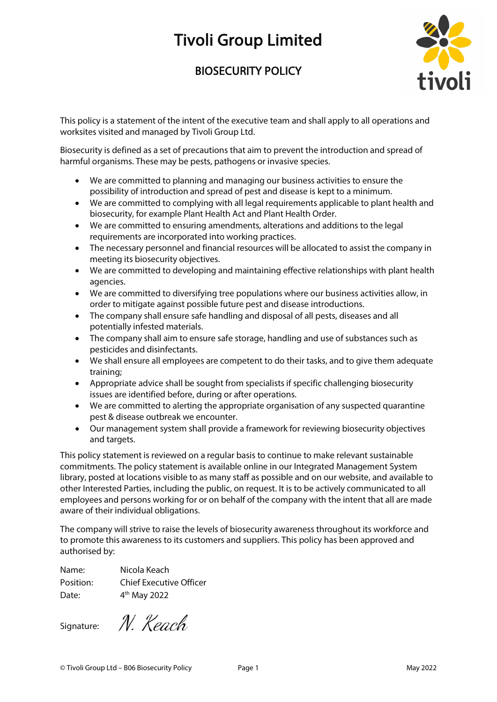## Tivoli Group Limited

## BIOSECURITY POLICY



This policy is a statement of the intent of the executive team and shall apply to all operations and worksites visited and managed by Tivoli Group Ltd.

Biosecurity is defined as a set of precautions that aim to prevent the introduction and spread of harmful organisms. These may be pests, pathogens or invasive species.

- We are committed to planning and managing our business activities to ensure the possibility of introduction and spread of pest and disease is kept to a minimum.
- We are committed to complying with all legal requirements applicable to plant health and biosecurity, for example Plant Health Act and Plant Health Order.
- We are committed to ensuring amendments, alterations and additions to the legal requirements are incorporated into working practices.
- The necessary personnel and financial resources will be allocated to assist the company in meeting its biosecurity objectives.
- We are committed to developing and maintaining effective relationships with plant health agencies.
- We are committed to diversifying tree populations where our business activities allow, in order to mitigate against possible future pest and disease introductions.
- The company shall ensure safe handling and disposal of all pests, diseases and all potentially infested materials.
- The company shall aim to ensure safe storage, handling and use of substances such as pesticides and disinfectants.
- We shall ensure all employees are competent to do their tasks, and to give them adequate training;
- Appropriate advice shall be sought from specialists if specific challenging biosecurity issues are identified before, during or after operations.
- We are committed to alerting the appropriate organisation of any suspected quarantine pest & disease outbreak we encounter.
- Our management system shall provide a framework for reviewing biosecurity objectives and targets.

This policy statement is reviewed on a regular basis to continue to make relevant sustainable commitments. The policy statement is available online in our Integrated Management System library, posted at locations visible to as many staff as possible and on our website, and available to other Interested Parties, including the public, on request. It is to be actively communicated to all employees and persons working for or on behalf of the company with the intent that all are made aware of their individual obligations.

The company will strive to raise the levels of biosecurity awareness throughout its workforce and to promote this awareness to its customers and suppliers. This policy has been approved and authorised by:

Name: Nicola Keach Position: Chief Executive Officer Date:  $4<sup>th</sup>$  May 2022

Signature:

N. Keach